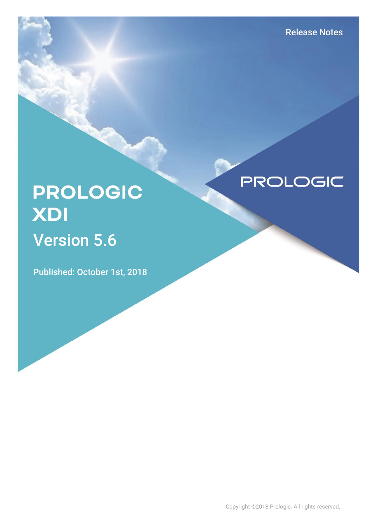# **PROLOGIC** XDI Version 5.6

Published: October 1st, 2018

**PROLOGIC** 

Copyright ©2018 Prologic. All rights reserved.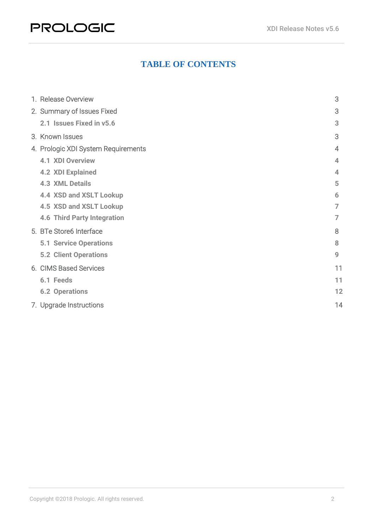# **PROLOGIC**

### **TABLE OF CONTENTS**

|  | 1. Release Overview                 | 3              |
|--|-------------------------------------|----------------|
|  | 2. Summary of Issues Fixed          | 3              |
|  | 2.1 Issues Fixed in v5.6            | 3              |
|  | 3. Known Issues                     | 3              |
|  | 4. Prologic XDI System Requirements | $\overline{4}$ |
|  | <b>4.1 XDI Overview</b>             | 4              |
|  | <b>4.2 XDI Explained</b>            | 4              |
|  | <b>4.3 XML Details</b>              | 5              |
|  | 4.4 XSD and XSLT Lookup             | 6              |
|  | 4.5 XSD and XSLT Lookup             | $\overline{7}$ |
|  | <b>4.6 Third Party Integration</b>  | $\overline{7}$ |
|  | 5. BTe Store6 Interface             | 8              |
|  | <b>5.1 Service Operations</b>       | 8              |
|  | <b>5.2 Client Operations</b>        | 9              |
|  | 6. CIMS Based Services              | 11             |
|  | 6.1 Feeds                           | 11             |
|  | <b>6.2 Operations</b>               | 12             |
|  | 7. Upgrade Instructions             | 14             |
|  |                                     |                |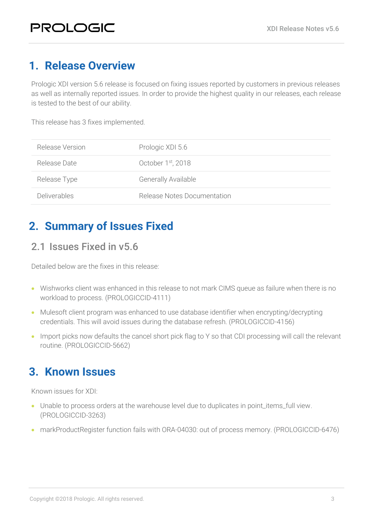# <span id="page-2-0"></span>**1. Release Overview**

Prologic XDI version 5.6 release is focused on fixing issues reported by customers in previous releases as well as internally reported issues. In order to provide the highest quality in our releases, each release is tested to the best of our ability.

This release has 3 fixes implemented.

| Release Version     | Prologic XDI 5.6               |
|---------------------|--------------------------------|
| Release Date        | October 1 <sup>st</sup> , 2018 |
| Release Type        | <b>Generally Available</b>     |
| <b>Deliverables</b> | Release Notes Documentation    |

# <span id="page-2-1"></span>**2. Summary of Issues Fixed**

### <span id="page-2-2"></span>2.1 Issues Fixed in v5.6

Detailed below are the fixes in this release:

- Wishworks client was enhanced in this release to not mark CIMS queue as failure when there is no workload to process. (PROLOGICCID-4111)
- Mulesoft client program was enhanced to use database identifier when encrypting/decrypting credentials. This will avoid issues during the database refresh. (PROLOGICCID-4156)
- Import picks now defaults the cancel short pick flag to Y so that CDI processing will call the relevant routine. (PROLOGICCID-5662)

# <span id="page-2-3"></span>**3. Known Issues**

Known issues for XDI:

- Unable to process orders at the warehouse level due to duplicates in point\_items\_full view. (PROLOGICCID-3263)
- markProductRegister function fails with ORA-04030: out of process memory. (PROLOGICCID-6476)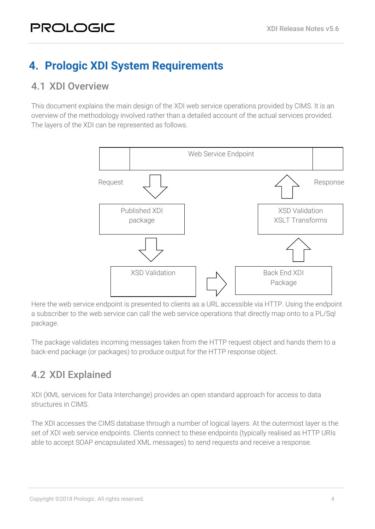# <span id="page-3-0"></span>**4. Prologic XDI System Requirements**

### <span id="page-3-1"></span>4.1 XDI Overview

This document explains the main design of the XDI web service operations provided by CIMS. It is an overview of the methodology involved rather than a detailed account of the actual services provided. The layers of the XDI can be represented as follows.



Here the web service endpoint is presented to clients as a URL accessible via HTTP. Using the endpoint a subscriber to the web service can call the web service operations that directly map onto to a PL/Sql package.

The package validates incoming messages taken from the HTTP request object and hands them to a back-end package (or packages) to produce output for the HTTP response object.

# <span id="page-3-2"></span>4.2 XDI Explained

XDI (XML services for Data Interchange) provides an open standard approach for access to data structures in CIMS.

The XDI accesses the CIMS database through a number of logical layers. At the outermost layer is the set of XDI web service endpoints. Clients connect to these endpoints (typically realised as HTTP URIs able to accept SOAP encapsulated XML messages) to send requests and receive a response.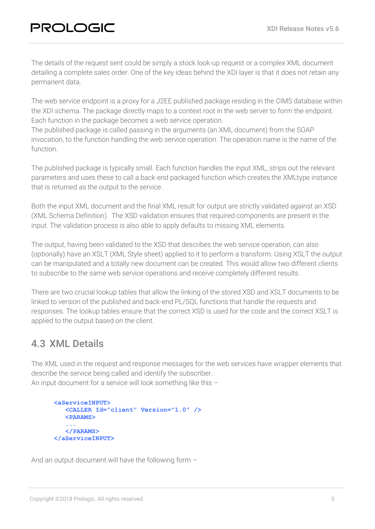The details of the request sent could be simply a stock look-up request or a complex XML document detailing a complete sales order. One of the key ideas behind the XDI layer is that it does not retain any permanent data.

The web service endpoint is a proxy for a J2EE published package residing in the CIMS database within the XDI schema. The package directly maps to a context root in the web server to form the endpoint. Each function in the package becomes a web service operation.

The published package is called passing in the arguments (an XML document) from the SOAP invocation, to the function handling the web service operation. The operation name is the name of the function.

The published package is typically small. Each function handles the input XML, strips out the relevant parameters and uses these to call a back-end packaged function which creates the XMLtype instance that is returned as the output to the service.

Both the input XML document and the final XML result for output are strictly validated against an XSD (XML Schema Definition). The XSD validation ensures that required components are present in the input. The validation process is also able to apply defaults to missing XML elements.

The output, having been validated to the XSD that describes the web service operation, can also (optionally) have an XSLT (XML Style sheet) applied to it to perform a transform. Using XSLT the output can be manipulated and a totally new document can be created. This would allow two different clients to subscribe to the same web service operations and receive completely different results.

There are two crucial lookup tables that allow the linking of the stored XSD and XSLT documents to be linked to version of the published and back-end PL/SQL functions that handle the requests and responses. The lookup tables ensure that the correct XSD is used for the code and the correct XSLT is applied to the output based on the client.

# <span id="page-4-0"></span>4.3 XML Details

The XML used in the request and response messages for the web services have wrapper elements that describe the service being called and identify the subscriber. An input document for a service will look something like this –

```
<aServiceINPUT>
    <CALLER Id="client" Version="1.0" />
    <PARAMS>
 ...
    </PARAMS>
</aServiceINPUT>
```
And an output document will have the following form –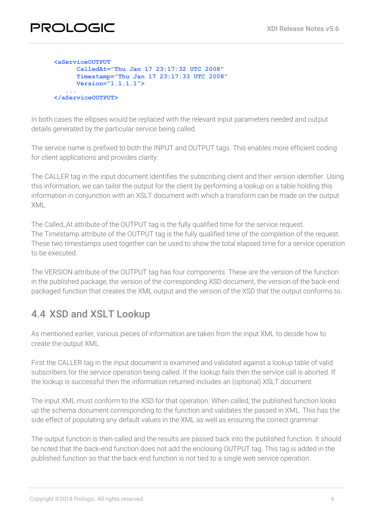| <b><aserviceoutput< b=""></aserviceoutput<></b> |
|-------------------------------------------------|
| CalledAt="Thu Jan 17 23:17:32 UTC 2008"         |
| Timestamp="Thu Jan 17 23:17:33 UTC 2008"        |
| $Version="1.1.1.1"$                             |
| .                                               |
| $\langle$ /aServiceOUTPUT>                      |

In both cases the ellipses would be replaced with the relevant input parameters needed and output details generated by the particular service being called.

The service name is prefixed to both the INPUT and OUTPUT tags. This enables more efficient coding for client applications and provides clarity.

The CALLER tag in the input document identifies the subscribing client and their version identifier. Using this information, we can tailor the output for the client by performing a lookup on a table holding this information in conjunction with an XSLT document with which a transform can be made on the output XML.

The Called\_At attribute of the OUTPUT tag is the fully qualified time for the service request. The Timestamp attribute of the OUTPUT tag is the fully qualified time of the completion of the request. These two timestamps used together can be used to show the total elapsed time for a service operation to be executed.

The VERSION attribute of the OUTPUT tag has four components. These are the version of the function in the published package, the version of the corresponding XSD document, the version of the back-end packaged function that creates the XML output and the version of the XSD that the output conforms to.

# <span id="page-5-0"></span>4.4 XSD and XSLT Lookup

As mentioned earlier, various pieces of information are taken from the input XML to decide how to create the output XML.

First the CALLER tag in the input document is examined and validated against a lookup table of valid subscribers for the service operation being called. If the lookup fails then the service call is aborted. If the lookup is successful then the information returned includes an (optional) XSLT document.

The input XML must conform to the XSD for that operation. When called, the published function looks up the schema document corresponding to the function and validates the passed in XML. This has the side effect of populating any default values in the XML as well as ensuring the correct grammar.

The output function is then called and the results are passed back into the published function. It should be noted that the back-end function does not add the enclosing OUTPUT tag. This tag is added in the published function so that the back-end function is not tied to a single web service operation.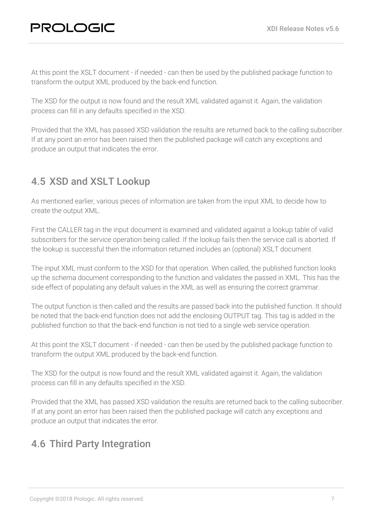At this point the XSLT document - if needed - can then be used by the published package function to transform the output XML produced by the back-end function.

The XSD for the output is now found and the result XML validated against it. Again, the validation process can fill in any defaults specified in the XSD.

Provided that the XML has passed XSD validation the results are returned back to the calling subscriber. If at any point an error has been raised then the published package will catch any exceptions and produce an output that indicates the error.

# <span id="page-6-0"></span>4.5 XSD and XSLT Lookup

As mentioned earlier, various pieces of information are taken from the input XML to decide how to create the output XML.

First the CALLER tag in the input document is examined and validated against a lookup table of valid subscribers for the service operation being called. If the lookup fails then the service call is aborted. If the lookup is successful then the information returned includes an (optional) XSLT document.

The input XML must conform to the XSD for that operation. When called, the published function looks up the schema document corresponding to the function and validates the passed in XML. This has the side effect of populating any default values in the XML as well as ensuring the correct grammar.

The output function is then called and the results are passed back into the published function. It should be noted that the back-end function does not add the enclosing OUTPUT tag. This tag is added in the published function so that the back-end function is not tied to a single web service operation.

At this point the XSLT document - if needed - can then be used by the published package function to transform the output XML produced by the back-end function.

The XSD for the output is now found and the result XML validated against it. Again, the validation process can fill in any defaults specified in the XSD.

Provided that the XML has passed XSD validation the results are returned back to the calling subscriber. If at any point an error has been raised then the published package will catch any exceptions and produce an output that indicates the error.

# <span id="page-6-1"></span>4.6 Third Party Integration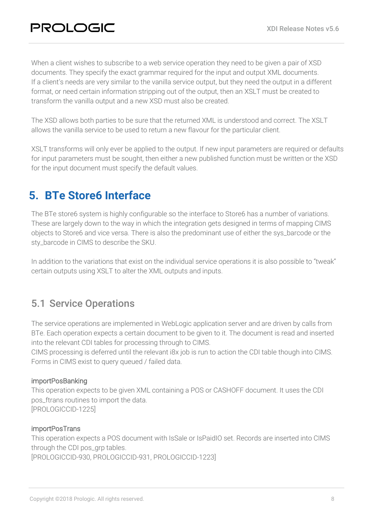When a client wishes to subscribe to a web service operation they need to be given a pair of XSD documents. They specify the exact grammar required for the input and output XML documents. If a client's needs are very similar to the vanilla service output, but they need the output in a different format, or need certain information stripping out of the output, then an XSLT must be created to transform the vanilla output and a new XSD must also be created.

The XSD allows both parties to be sure that the returned XML is understood and correct. The XSLT allows the vanilla service to be used to return a new flavour for the particular client.

XSLT transforms will only ever be applied to the output. If new input parameters are required or defaults for input parameters must be sought, then either a new published function must be written or the XSD for the input document must specify the default values.

# <span id="page-7-0"></span>**5. BTe Store6 Interface**

The BTe store6 system is highly configurable so the interface to Store6 has a number of variations. These are largely down to the way in which the integration gets designed in terms of mapping CIMS objects to Store6 and vice versa. There is also the predominant use of either the sys\_barcode or the sty\_barcode in CIMS to describe the SKU.

In addition to the variations that exist on the individual service operations it is also possible to "tweak" certain outputs using XSLT to alter the XML outputs and inputs.

### <span id="page-7-1"></span>5.1 Service Operations

The service operations are implemented in WebLogic application server and are driven by calls from BTe. Each operation expects a certain document to be given to it. The document is read and inserted into the relevant CDI tables for processing through to CIMS.

CIMS processing is deferred until the relevant i8x job is run to action the CDI table though into CIMS. Forms in CIMS exist to query queued / failed data.

#### importPosBanking

This operation expects to be given XML containing a POS or CASHOFF document. It uses the CDI pos\_ftrans routines to import the data. [PROLOGICCID-1225]

#### importPosTrans

This operation expects a POS document with IsSale or IsPaidIO set. Records are inserted into CIMS through the CDI pos\_grp tables.

[PROLOGICCID-930, PROLOGICCID-931, PROLOGICCID-1223]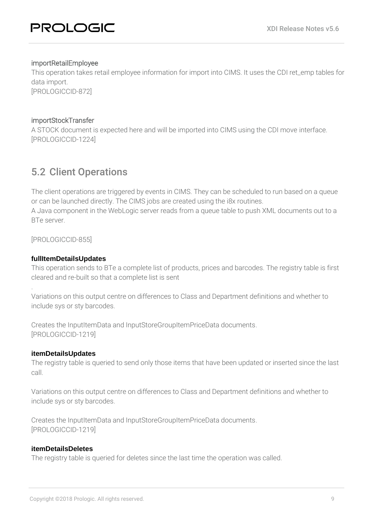#### importRetailEmployee

This operation takes retail employee information for import into CIMS. It uses the CDI ret\_emp tables for data import.

[PROLOGICCID-872]

#### importStockTransfer

A STOCK document is expected here and will be imported into CIMS using the CDI move interface. [PROLOGICCID-1224]

### <span id="page-8-0"></span>5.2 Client Operations

The client operations are triggered by events in CIMS. They can be scheduled to run based on a queue or can be launched directly. The CIMS jobs are created using the i8x routines.

A Java component in the WebLogic server reads from a queue table to push XML documents out to a BTe server.

[PROLOGICCID-855]

.

#### **fullItemDetailsUpdates**

This operation sends to BTe a complete list of products, prices and barcodes. The registry table is first cleared and re-built so that a complete list is sent

Variations on this output centre on differences to Class and Department definitions and whether to include sys or sty barcodes.

Creates the InputItemData and InputStoreGroupItemPriceData documents. [PROLOGICCID-1219]

#### **itemDetailsUpdates**

The registry table is queried to send only those items that have been updated or inserted since the last call.

Variations on this output centre on differences to Class and Department definitions and whether to include sys or sty barcodes.

Creates the InputItemData and InputStoreGroupItemPriceData documents. [PROLOGICCID-1219]

#### **itemDetailsDeletes**

The registry table is queried for deletes since the last time the operation was called.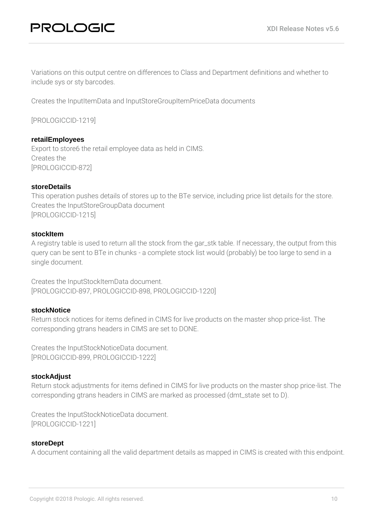Variations on this output centre on differences to Class and Department definitions and whether to include sys or sty barcodes.

Creates the InputItemData and InputStoreGroupItemPriceData documents

[PROLOGICCID-1219]

#### **retailEmployees**

Export to store6 the retail employee data as held in CIMS. Creates the [PROLOGICCID-872]

#### **storeDetails**

This operation pushes details of stores up to the BTe service, including price list details for the store. Creates the InputStoreGroupData document [PROLOGICCID-1215]

#### **stockItem**

A registry table is used to return all the stock from the gar\_stk table. If necessary, the output from this query can be sent to BTe in chunks - a complete stock list would (probably) be too large to send in a single document.

Creates the InputStockItemData document. [PROLOGICCID-897, PROLOGICCID-898, PROLOGICCID-1220]

#### **stockNotice**

Return stock notices for items defined in CIMS for live products on the master shop price-list. The corresponding gtrans headers in CIMS are set to DONE.

Creates the InputStockNoticeData document. [PROLOGICCID-899, PROLOGICCID-1222]

#### **stockAdjust**

Return stock adjustments for items defined in CIMS for live products on the master shop price-list. The corresponding gtrans headers in CIMS are marked as processed (dmt\_state set to D).

Creates the InputStockNoticeData document. [PROLOGICCID-1221]

#### **storeDept**

A document containing all the valid department details as mapped in CIMS is created with this endpoint.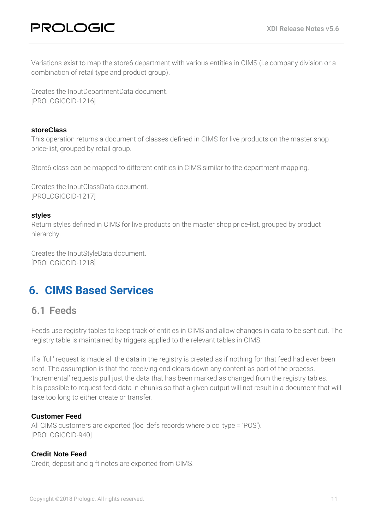Variations exist to map the store6 department with various entities in CIMS (i.e company division or a combination of retail type and product group).

Creates the InputDepartmentData document. [PROLOGICCID-1216]

#### **storeClass**

This operation returns a document of classes defined in CIMS for live products on the master shop price-list, grouped by retail group.

Store6 class can be mapped to different entities in CIMS similar to the department mapping.

Creates the InputClassData document. [PROLOGICCID-1217]

#### **styles**

Return styles defined in CIMS for live products on the master shop price-list, grouped by product hierarchy.

Creates the InputStyleData document. [PROLOGICCID-1218]

# <span id="page-10-0"></span>**6. CIMS Based Services**

### <span id="page-10-1"></span>6.1 Feeds

Feeds use registry tables to keep track of entities in CIMS and allow changes in data to be sent out. The registry table is maintained by triggers applied to the relevant tables in CIMS.

If a 'full' request is made all the data in the registry is created as if nothing for that feed had ever been sent. The assumption is that the receiving end clears down any content as part of the process. 'Incremental' requests pull just the data that has been marked as changed from the registry tables. It is possible to request feed data in chunks so that a given output will not result in a document that will take too long to either create or transfer.

#### **Customer Feed**

All CIMS customers are exported (loc\_defs records where ploc\_type = 'POS'). [PROLOGICCID-940]

#### **Credit Note Feed**

Credit, deposit and gift notes are exported from CIMS.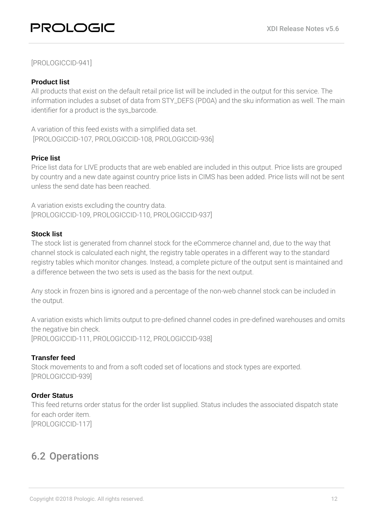# PROLOGIC

#### [PROLOGICCID-941]

#### **Product list**

All products that exist on the default retail price list will be included in the output for this service. The information includes a subset of data from STY\_DEFS (PD0A) and the sku information as well. The main identifier for a product is the sys\_barcode.

A variation of this feed exists with a simplified data set. [PROLOGICCID-107, PROLOGICCID-108, PROLOGICCID-936]

#### **Price list**

Price list data for LIVE products that are web enabled are included in this output. Price lists are grouped by country and a new date against country price lists in CIMS has been added. Price lists will not be sent unless the send date has been reached.

A variation exists excluding the country data. [PROLOGICCID-109, PROLOGICCID-110, PROLOGICCID-937]

#### **Stock list**

The stock list is generated from channel stock for the eCommerce channel and, due to the way that channel stock is calculated each night, the registry table operates in a different way to the standard registry tables which monitor changes. Instead, a complete picture of the output sent is maintained and a difference between the two sets is used as the basis for the next output.

Any stock in frozen bins is ignored and a percentage of the non-web channel stock can be included in the output.

A variation exists which limits output to pre-defined channel codes in pre-defined warehouses and omits the negative bin check. [PROLOGICCID-111, PROLOGICCID-112, PROLOGICCID-938]

#### **Transfer feed**

Stock movements to and from a soft coded set of locations and stock types are exported. [PROLOGICCID-939]

#### **Order Status**

This feed returns order status for the order list supplied. Status includes the associated dispatch state for each order item. [PROLOGICCID-117]

### <span id="page-11-0"></span>6.2 Operations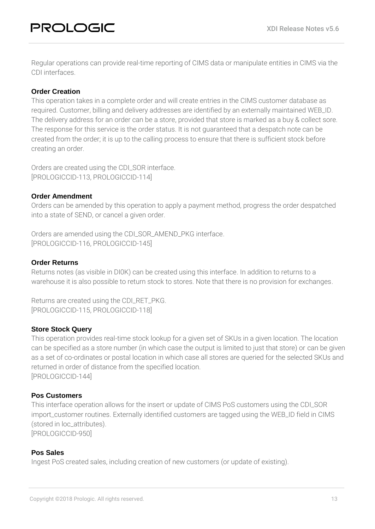Regular operations can provide real-time reporting of CIMS data or manipulate entities in CIMS via the CDI interfaces.

#### **Order Creation**

This operation takes in a complete order and will create entries in the CIMS customer database as required. Customer, billing and delivery addresses are identified by an externally maintained WEB\_ID. The delivery address for an order can be a store, provided that store is marked as a buy & collect sore. The response for this service is the order status. It is not guaranteed that a despatch note can be created from the order; it is up to the calling process to ensure that there is sufficient stock before creating an order.

Orders are created using the CDI\_SOR interface. [PROLOGICCID-113, PROLOGICCID-114]

#### **Order Amendment**

Orders can be amended by this operation to apply a payment method, progress the order despatched into a state of SEND, or cancel a given order.

Orders are amended using the CDI\_SOR\_AMEND\_PKG interface. [PROLOGICCID-116, PROLOGICCID-145]

#### **Order Returns**

Returns notes (as visible in DI0K) can be created using this interface. In addition to returns to a warehouse it is also possible to return stock to stores. Note that there is no provision for exchanges.

Returns are created using the CDI\_RET\_PKG. [PROLOGICCID-115, PROLOGICCID-118]

#### **Store Stock Query**

This operation provides real-time stock lookup for a given set of SKUs in a given location. The location can be specified as a store number (in which case the output is limited to just that store) or can be given as a set of co-ordinates or postal location in which case all stores are queried for the selected SKUs and returned in order of distance from the specified location. [PROLOGICCID-144]

#### **Pos Customers**

This interface operation allows for the insert or update of CIMS PoS customers using the CDI\_SOR import\_customer routines. Externally identified customers are tagged using the WEB\_ID field in CIMS (stored in loc\_attributes). [PROLOGICCID-950]

#### **Pos Sales**

Ingest PoS created sales, including creation of new customers (or update of existing).